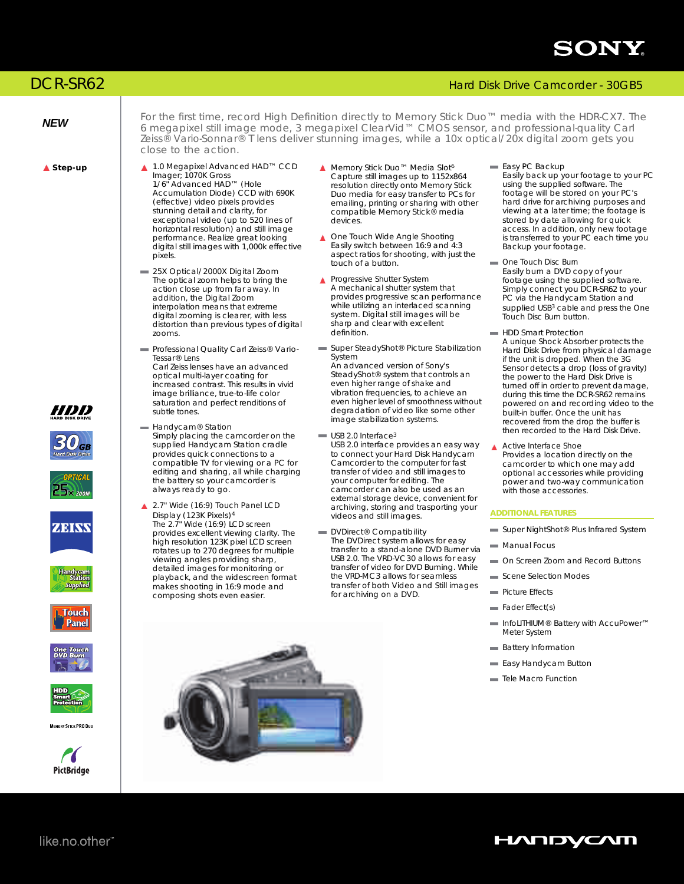

## DCR-SR62 Hard Disk Drive Camcorder - 30GB5

















MEMORY STICK PRO DUO



*NEW* For the first time, record High Definition directly to Memory Stick Duo™ media with the HDR-CX7. The magnetic field the state of the first time are mode. 2 meganivel Clearling CMOS sensor, and prefessional quality C 6 megapixel still image mode, 3 megapixel ClearVid™ CMOS sensor, and professional-quality Carl Zeiss® Vario-Sonnar® T lens deliver stunning images, while a 10x optical/20x digital zoom gets you close to the action.

- **Step-up** 1.0 Megapixel Advanced HAD™ CCD Imager; 1070K Gross 1/6" Advanced HAD™ (Hole Accumulation Diode) CCD with 690K (effective) video pixels provides stunning detail and clarity, for exceptional video (up to 520 lines of horizontal resolution) and still image performance. Realize great looking digital still images with 1,000k effective pixels.
	- 25X Optical/2000X Digital Zoom The optical zoom helps to bring the action close up from far away. In addition, the Digital Zoom interpolation means that extreme digital zooming is clearer, with less distortion than previous types of digital zooms.
	- Professional Quality Carl Zeiss® Vario-Tessar® Lens Carl Zeiss lenses have an advanced optical multi-layer coating for increased contrast. This results in vivid image brilliance, true-to-life color saturation and perfect renditions of subtle tones.
	- Handycam<sup>®</sup> Station Simply placing the camcorder on the supplied Handycam Station cradle provides quick connections to a compatible TV for viewing or a PC for editing and sharing, all while charging the battery so your camcorder is always ready to go.
	- 2.7" Wide (16:9) Touch Panel LCD  $\blacktriangle$ 4 Display (123K Pixels) The 2.7" Wide (16:9) LCD screen provides excellent viewing clarity. The high resolution 123K pixel LCD screen rotates up to 270 degrees for multiple viewing angles providing sharp, detailed images for monitoring or playback, and the widescreen format makes shooting in 16:9 mode and composing shots even easier.
- Memory Stick Duo<sup>™</sup> Media Slot<sup>6</sup> Capture still images up to 1152x864 resolution directly onto Memory Stick Duo media for easy transfer to PCs for emailing, printing or sharing with other compatible Memory Stick® media devices.
- ▲ One Touch Wide Angle Shooting Easily switch between 16:9 and 4:3 aspect ratios for shooting, with just the touch of a button.
- **A** Progressive Shutter System A mechanical shutter system that provides progressive scan performance while utilizing an interlaced scanning system. Digital still images will be sharp and clear with excellent definition.
- Super SteadyShot<sup>®</sup> Picture Stabilization System An advanced version of Sony's SteadyShot® system that controls an even higher range of shake and vibration frequencies, to achieve an even higher level of smoothness without degradation of video like some other image stabilization systems.
- USB 2.0 Interface<sup>3</sup> USB 2.0 interface provides an easy way to connect your Hard Disk Handycam Camcorder to the computer for fast transfer of video and still images to your computer for editing. The camcorder can also be used as an external storage device, convenient for archiving, storing and trasporting your videos and still images.
- **DVDirect® Compatibility** The DVDirect system allows for easy transfer to a stand-alone DVD Burner via USB 2.0. The VRD-VC30 allows for easy transfer of video for DVD Burning. While the VRD-MC3 allows for seamless transfer of both Video and Still images for archiving on a DVD.

Easy PC Backup Easily back up your footage to your PC using the supplied software. The footage will be stored on your PC's

hard drive for archiving purposes and viewing at a later time; the footage is stored by date allowing for quick access. In addition, only new footage is transferred to your PC each time you Backup your footage.

- One Touch Disc Burn Easily burn a DVD copy of your footage using the supplied software. Simply connect you DCR-SR62 to your PC via the Handycam Station and supplied USB<sup>3</sup> cable and press the One Touch Disc Burn button.
- **HDD Smart Protection** A unique Shock Absorber protects the Hard Disk Drive from physical damage if the unit is dropped. When the 3G Sensor detects a drop (loss of gravity) the power to the Hard Disk Drive is turned off in order to prevent damage, during this time the DCR-SR62 remains powered on and recording video to the built-in buffer. Once the unit has recovered from the drop the buffer is then recorded to the Hard Disk Drive.

Active Interface Shoe  $\blacktriangle$ Provides a location directly on the camcorder to which one may add optional accessories while providing power and two-way communication with those accessories.

### *ADDITIONAL FEATURES*

- Super NightShot® Plus Infrared System
- $=$  Manual Focus
- On Screen Zoom and Record Buttons
- Scene Selection Modes
- Picture Effects
- = Fader Effect(s)
- InfoLITHIUM® Battery with AccuPower™ Meter System
- **Battery Information**
- **Easy Handycam Button**
- $=$  Tele Macro Function